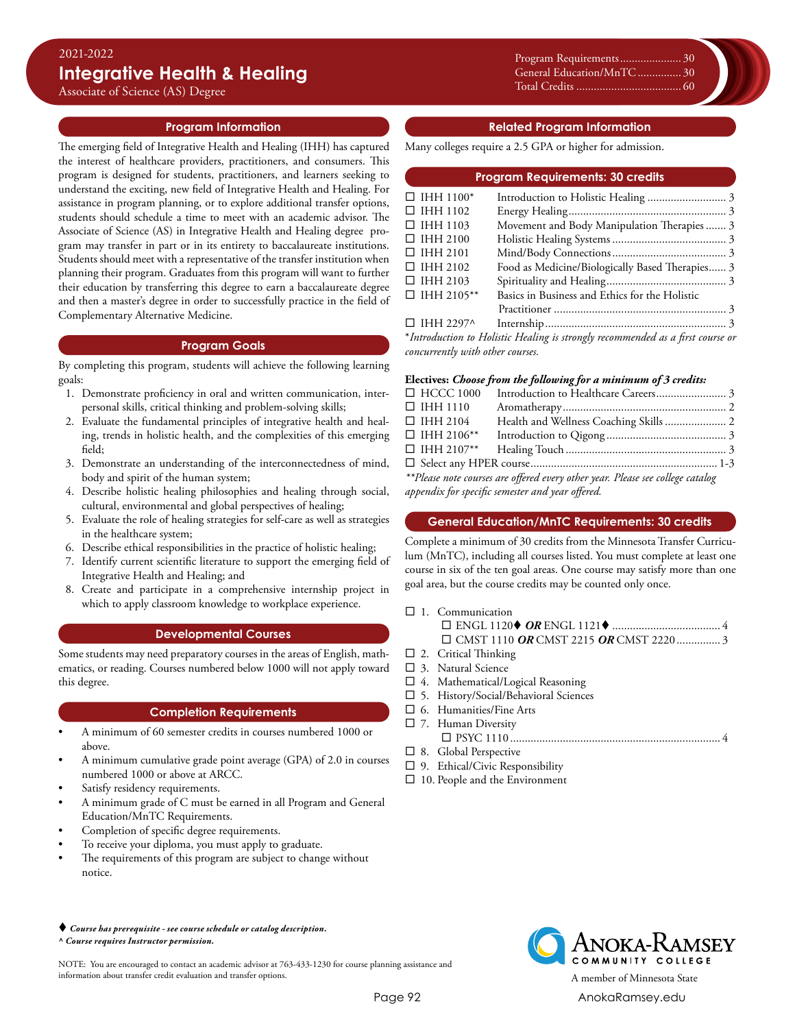Associate of Science (AS) Degree

# **Program Information**

The emerging field of Integrative Health and Healing (IHH) has captured the interest of healthcare providers, practitioners, and consumers. This program is designed for students, practitioners, and learners seeking to understand the exciting, new field of Integrative Health and Healing. For assistance in program planning, or to explore additional transfer options, students should schedule a time to meet with an academic advisor. The Associate of Science (AS) in Integrative Health and Healing degree program may transfer in part or in its entirety to baccalaureate institutions. Students should meet with a representative of the transfer institution when planning their program. Graduates from this program will want to further their education by transferring this degree to earn a baccalaureate degree and then a master's degree in order to successfully practice in the field of Complementary Alternative Medicine.

#### **Program Goals**

By completing this program, students will achieve the following learning goals:

- 1. Demonstrate proficiency in oral and written communication, interpersonal skills, critical thinking and problem-solving skills;
- 2. Evaluate the fundamental principles of integrative health and healing, trends in holistic health, and the complexities of this emerging field;
- 3. Demonstrate an understanding of the interconnectedness of mind, body and spirit of the human system;
- 4. Describe holistic healing philosophies and healing through social, cultural, environmental and global perspectives of healing;
- 5. Evaluate the role of healing strategies for self-care as well as strategies in the healthcare system;
- 6. Describe ethical responsibilities in the practice of holistic healing;
- 7. Identify current scientific literature to support the emerging field of Integrative Health and Healing; and
- 8. Create and participate in a comprehensive internship project in which to apply classroom knowledge to workplace experience.

# **Developmental Courses**

Some students may need preparatory courses in the areas of English, mathematics, or reading. Courses numbered below 1000 will not apply toward this degree.

# **Completion Requirements**

- A minimum of 60 semester credits in courses numbered 1000 or above.
- A minimum cumulative grade point average (GPA) of 2.0 in courses numbered 1000 or above at ARCC.
- Satisfy residency requirements.
- A minimum grade of C must be earned in all Program and General Education/MnTC Requirements.
- Completion of specific degree requirements.
- To receive your diploma, you must apply to graduate.
- The requirements of this program are subject to change without notice.

#### *Course has prerequisite - see course schedule or catalog description. ^ Course requires Instructor permission.*

NOTE: You are encouraged to contact an academic advisor at 763-433-1230 for course planning assistance and information about transfer credit evaluation and transfer options. A member of Minnesota State

Program Requirements..........................<br>0 Xxxxx............................................0 General Education/MnTC................ 30 Xxxxx............................................0 Total Credits.................................0 Total Credits..................................... 60

# **Related Program Information**

Many colleges require a 2.5 GPA or higher for admission.

| <b>Program Requirements: 30 credits</b> |                                                                                |  |  |
|-----------------------------------------|--------------------------------------------------------------------------------|--|--|
| $\Box$ IHH 1100*                        |                                                                                |  |  |
| $\Box$ IHH 1102                         |                                                                                |  |  |
| $\Box$ IHH 1103                         | Movement and Body Manipulation Therapies 3                                     |  |  |
| $\Box$ IHH 2100                         |                                                                                |  |  |
| $\Box$ IHH 2101                         |                                                                                |  |  |
| $\Box$ IHH 2102                         | Food as Medicine/Biologically Based Therapies 3                                |  |  |
| $\Box$ IHH 2103                         |                                                                                |  |  |
| $\Box$ IHH 2105**                       | Basics in Business and Ethics for the Holistic                                 |  |  |
|                                         |                                                                                |  |  |
| $\Box$ IHH 2297^                        |                                                                                |  |  |
|                                         | *Introduction to Holistic Healing is strongly recommended as a first course or |  |  |

*concurrently with other courses.*

#### **Electives:** *Choose from the following for a minimum of 3 credits:*

|                                                                                | $\Box$ HCCC 1000  |  |  |  |
|--------------------------------------------------------------------------------|-------------------|--|--|--|
|                                                                                | $\Box$ IHH 1110   |  |  |  |
|                                                                                | $\Box$ IHH 2104   |  |  |  |
|                                                                                | $\Box$ IHH 2106** |  |  |  |
|                                                                                |                   |  |  |  |
|                                                                                |                   |  |  |  |
| **Please note courses are offered every other year. Please see college catalog |                   |  |  |  |

*\*\*Please note courses are offered every other year. Please see college catalog appendix for specific semester and year offered.*

# **General Education/MnTC Requirements: 30 credits**

Complete a minimum of 30 credits from the Minnesota Transfer Curriculum (MnTC), including all courses listed. You must complete at least one course in six of the ten goal areas. One course may satisfy more than one goal area, but the course credits may be counted only once.

 $\Box$  1. Communication

- $\square$  2. Critical Thinking
- $\square$  3. Natural Science
- $\square$  4. Mathematical/Logical Reasoning
- $\square$  5. History/Social/Behavioral Sciences
- $\square$  6. Humanities/Fine Arts
- $\square$  7. Human Diversity
- ¨ PSYC 1110......................................................................... 4  $\square$  8. Global Perspective
- $\square$  9. Ethical/Civic Responsibility
- $\square$  10. People and the Environment